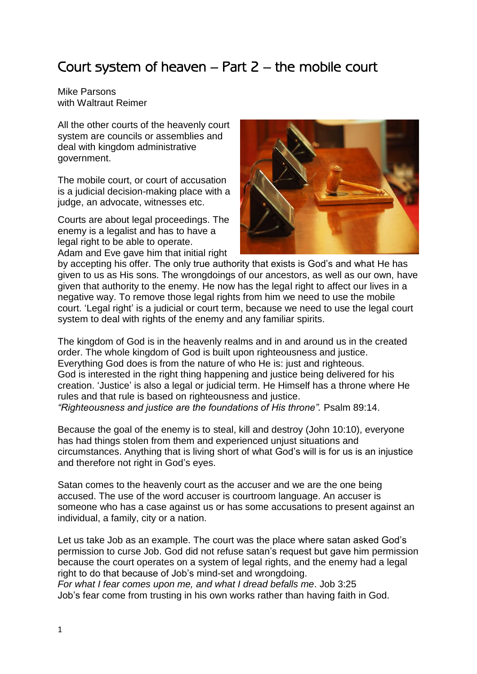## Court system of heaven – Part 2 – the mobile court

Mike Parsons with Waltraut Reimer

All the other courts of the heavenly court system are councils or assemblies and deal with kingdom administrative government.

The mobile court, or court of accusation is a judicial decision-making place with a judge, an advocate, witnesses etc.

Courts are about legal proceedings. The enemy is a legalist and has to have a legal right to be able to operate.

Adam and Eve gave him that initial right



by accepting his offer. The only true authority that exists is God's and what He has given to us as His sons. The wrongdoings of our ancestors, as well as our own, have given that authority to the enemy. He now has the legal right to affect our lives in a negative way. To remove those legal rights from him we need to use the mobile court. 'Legal right' is a judicial or court term, because we need to use the legal court system to deal with rights of the enemy and any familiar spirits.

The kingdom of God is in the heavenly realms and in and around us in the created order. The whole kingdom of God is built upon righteousness and justice. Everything God does is from the nature of who He is: just and righteous. God is interested in the right thing happening and justice being delivered for his creation. 'Justice' is also a legal or judicial term. He Himself has a throne where He rules and that rule is based on righteousness and justice.

*"Righteousness and justice are the foundations of His throne".* Psalm 89:14.

Because the goal of the enemy is to steal, kill and destroy (John 10:10), everyone has had things stolen from them and experienced unjust situations and circumstances. Anything that is living short of what God's will is for us is an injustice and therefore not right in God's eyes.

Satan comes to the heavenly court as the accuser and we are the one being accused. The use of the word accuser is courtroom language. An accuser is someone who has a case against us or has some accusations to present against an individual, a family, city or a nation.

Let us take Job as an example. The court was the place where satan asked God's permission to curse Job. God did not refuse satan's request but gave him permission because the court operates on a system of legal rights, and the enemy had a legal right to do that because of Job's mind-set and wrongdoing. *For what I fear comes upon me, and what I dread befalls me*. Job 3:25 Job's fear come from trusting in his own works rather than having faith in God.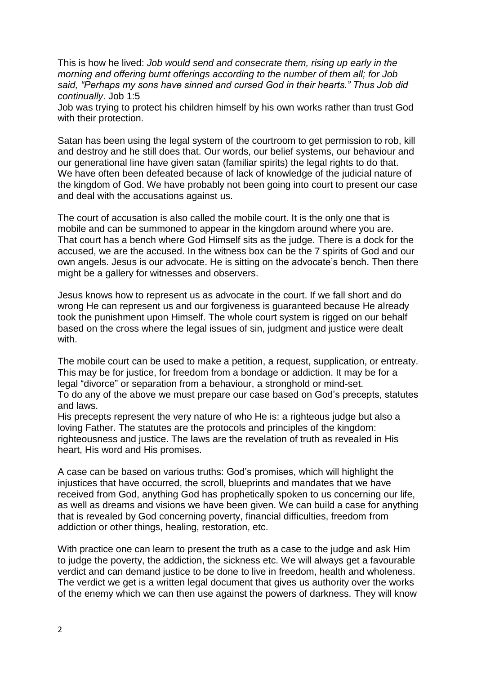This is how he lived: *Job would send and consecrate them, rising up early in the morning and offering burnt offerings according to the number of them all; for Job said, "Perhaps my sons have sinned and cursed God in their hearts." Thus Job did continually*. Job 1:5

Job was trying to protect his children himself by his own works rather than trust God with their protection.

Satan has been using the legal system of the courtroom to get permission to rob, kill and destroy and he still does that. Our words, our belief systems, our behaviour and our generational line have given satan (familiar spirits) the legal rights to do that. We have often been defeated because of lack of knowledge of the judicial nature of the kingdom of God. We have probably not been going into court to present our case and deal with the accusations against us.

The court of accusation is also called the mobile court. It is the only one that is mobile and can be summoned to appear in the kingdom around where you are. That court has a bench where God Himself sits as the judge. There is a dock for the accused, we are the accused. In the witness box can be the 7 spirits of God and our own angels. Jesus is our advocate. He is sitting on the advocate's bench. Then there might be a gallery for witnesses and observers.

Jesus knows how to represent us as advocate in the court. If we fall short and do wrong He can represent us and our forgiveness is guaranteed because He already took the punishment upon Himself. The whole court system is rigged on our behalf based on the cross where the legal issues of sin, judgment and justice were dealt with.

The mobile court can be used to make a petition, a request, supplication, or entreaty. This may be for justice, for freedom from a bondage or addiction. It may be for a legal "divorce" or separation from a behaviour, a stronghold or mind-set. To do any of the above we must prepare our case based on God's precepts, statutes and laws.

His precepts represent the very nature of who He is: a righteous judge but also a loving Father. The statutes are the protocols and principles of the kingdom: righteousness and justice. The laws are the revelation of truth as revealed in His heart, His word and His promises.

A case can be based on various truths: God's promises, which will highlight the injustices that have occurred, the scroll, blueprints and mandates that we have received from God, anything God has prophetically spoken to us concerning our life, as well as dreams and visions we have been given. We can build a case for anything that is revealed by God concerning poverty, financial difficulties, freedom from addiction or other things, healing, restoration, etc.

With practice one can learn to present the truth as a case to the judge and ask Him to judge the poverty, the addiction, the sickness etc. We will always get a favourable verdict and can demand justice to be done to live in freedom, health and wholeness. The verdict we get is a written legal document that gives us authority over the works of the enemy which we can then use against the powers of darkness. They will know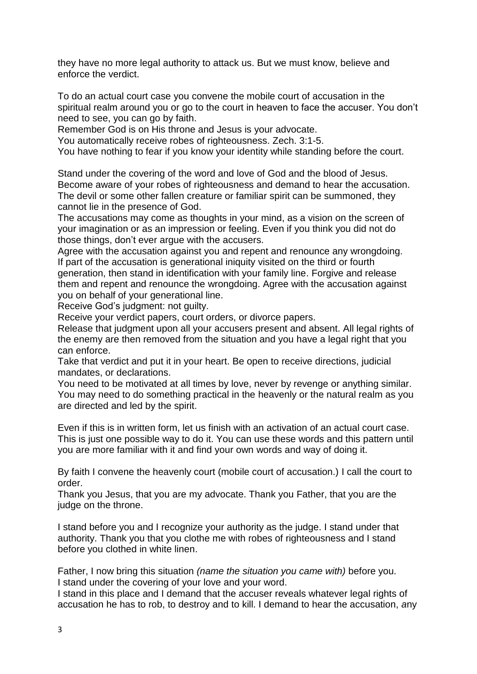they have no more legal authority to attack us. But we must know, believe and enforce the verdict.

To do an actual court case you convene the mobile court of accusation in the spiritual realm around you or go to the court in heaven to face the accuser. You don't need to see, you can go by faith.

Remember God is on His throne and Jesus is your advocate.

You automatically receive robes of righteousness. Zech. 3:1-5.

You have nothing to fear if you know your identity while standing before the court.

Stand under the covering of the word and love of God and the blood of Jesus. Become aware of your robes of righteousness and demand to hear the accusation. The devil or some other fallen creature or familiar spirit can be summoned, they cannot lie in the presence of God.

The accusations may come as thoughts in your mind, as a vision on the screen of your imagination or as an impression or feeling. Even if you think you did not do those things, don't ever argue with the accusers.

Agree with the accusation against you and repent and renounce any wrongdoing. If part of the accusation is generational iniquity visited on the third or fourth generation, then stand in identification with your family line. Forgive and release them and repent and renounce the wrongdoing. Agree with the accusation against you on behalf of your generational line.

Receive God's judgment: not guilty.

Receive your verdict papers, court orders, or divorce papers.

Release that judgment upon all your accusers present and absent. All legal rights of the enemy are then removed from the situation and you have a legal right that you can enforce.

Take that verdict and put it in your heart. Be open to receive directions, judicial mandates, or declarations.

You need to be motivated at all times by love, never by revenge or anything similar. You may need to do something practical in the heavenly or the natural realm as you are directed and led by the spirit.

Even if this is in written form, let us finish with an activation of an actual court case. This is just one possible way to do it. You can use these words and this pattern until you are more familiar with it and find your own words and way of doing it.

By faith I convene the heavenly court (mobile court of accusation.) I call the court to order.

Thank you Jesus, that you are my advocate. Thank you Father, that you are the judge on the throne.

I stand before you and I recognize your authority as the judge. I stand under that authority. Thank you that you clothe me with robes of righteousness and I stand before you clothed in white linen.

Father, I now bring this situation *(name the situation you came with)* before you. I stand under the covering of your love and your word.

I stand in this place and I demand that the accuser reveals whatever legal rights of accusation he has to rob, to destroy and to kill. I demand to hear the accusation, *a*ny